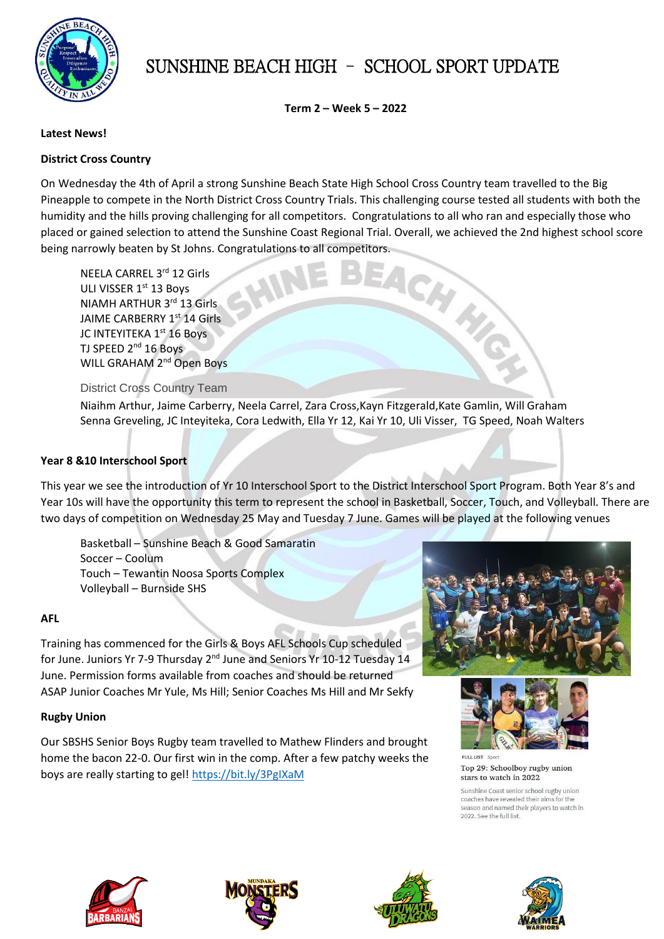

# SUNSHINE BEACH HIGH – SCHOOL SPORT UPDATE

**Term 2 – Week 5 – 2022**

### **Latest News!**

## **District Cross Country**

On Wednesday the 4th of April a strong Sunshine Beach State High School Cross Country team travelled to the Big Pineapple to compete in the North District Cross Country Trials. This challenging course tested all students with both the humidity and the hills proving challenging for all competitors. Congratulations to all who ran and especially those who placed or gained selection to attend the Sunshine Coast Regional Trial. Overall, we achieved the 2nd highest school score

being narrowly beaten by St Johns. Congratulations to all competitors.<br>
NEELA CARREL 3<sup>rd</sup> 12 Girls<br>
ULI VISSER 1<sup>st</sup> 13 Boys<br>
APTHUR 3<sup>rd</sup> 13 Girls NEELA CARREL 3rd 12 Girls ULI VISSER 1<sup>st</sup> 13 Boys NIAMH ARTHUR 3rd 13 Girls JAIME CARBERRY 1st 14 Girls JC INTEYITEKA 1<sup>st</sup> 16 Boys TJ SPEED 2<sup>nd</sup> 16 Boys WILL GRAHAM 2<sup>nd</sup> Open Boys

District Cross Country Team

Niaihm Arthur, Jaime Carberry, Neela Carrel, Zara Cross,Kayn Fitzgerald,Kate Gamlin, Will Graham Senna Greveling, JC Inteyiteka, Cora Ledwith, Ella Yr 12, Kai Yr 10, Uli Visser, TG Speed, Noah Walters

### **Year 8 &10 Interschool Sport**

This year we see the introduction of Yr 10 Interschool Sport to the District Interschool Sport Program. Both Year 8's and Year 10s will have the opportunity this term to represent the school in Basketball, Soccer, Touch, and Volleyball. There are two days of competition on Wednesday 25 May and Tuesday 7 June. Games will be played at the following venues

Basketball – Sunshine Beach & Good Samaratin Soccer – Coolum Touch – Tewantin Noosa Sports Complex Volleyball – Burnside SHS

### **AFL**

Training has commenced for the Girls & Boys AFL Schools Cup scheduled for June. Juniors Yr 7-9 Thursday 2<sup>nd</sup> June and Seniors Yr 10-12 Tuesday 14 June. Permission forms available from coaches and should be returned ASAP Junior Coaches Mr Yule, Ms Hill; Senior Coaches Ms Hill and Mr Sekfy

#### **Rugby Union**

Our SBSHS Senior Boys Rugby team travelled to Mathew Flinders and brought home the bacon 22-0. Our first win in the comp. After a few patchy weeks the boys are really starting to gel! <https://bit.ly/3PgIXaM>





**FULL LIST** Top 29: Schoolboy rugby union stars to watch in 2022

Sunshine Coast senior school rugby union coaches have revealed their aims for the season and named their players to watch in 2022. See the full list.







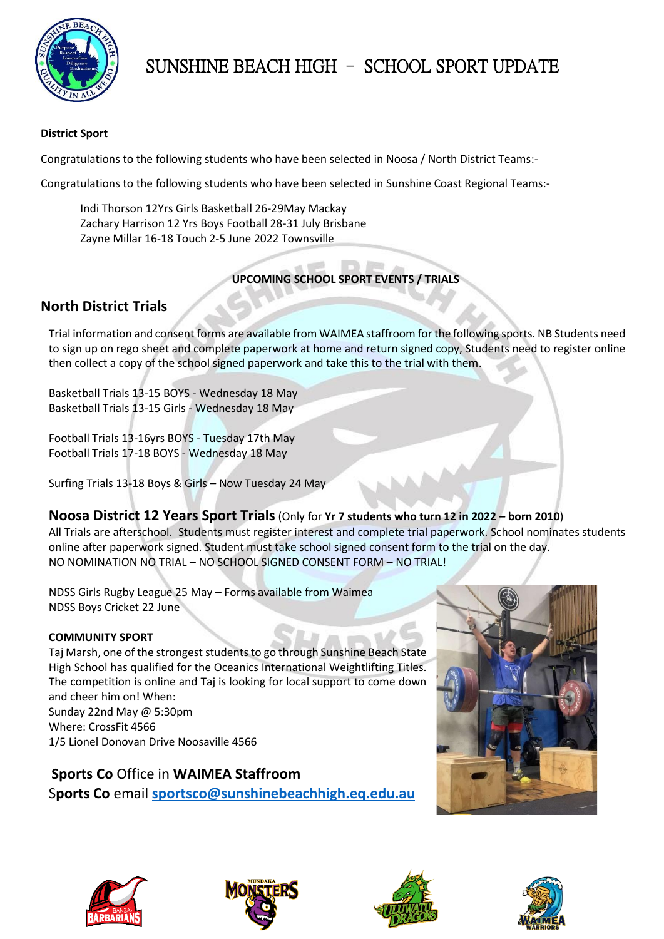

# SUNSHINE BEACH HIGH – SCHOOL SPORT UPDATE

## **District Sport**

Congratulations to the following students who have been selected in Noosa / North District Teams:-

Congratulations to the following students who have been selected in Sunshine Coast Regional Teams:-

Indi Thorson 12Yrs Girls Basketball 26-29May Mackay Zachary Harrison 12 Yrs Boys Football 28-31 July Brisbane Zayne Millar 16-18 Touch 2-5 June 2022 Townsville

## **UPCOMING SCHOOL SPORT EVENTS / TRIALS**

# **North District Trials**

Trial information and consent forms are available from WAIMEA staffroom for the following sports. NB Students need to sign up on rego sheet and complete paperwork at home and return signed copy, Students need to register online then collect a copy of the school signed paperwork and take this to the trial with them.

Basketball Trials 13-15 BOYS - Wednesday 18 May Basketball Trials 13-15 Girls - Wednesday 18 May

Football Trials 13-16yrs BOYS - Tuesday 17th May Football Trials 17-18 BOYS - Wednesday 18 May

Surfing Trials 13-18 Boys & Girls – Now Tuesday 24 May

## **Noosa District 12 Years Sport Trials**(Only for **Yr 7 students who turn 12 in 2022 – born 2010**)

All Trials are afterschool. Students must register interest and complete trial paperwork. School nominates students online after paperwork signed. Student must take school signed consent form to the trial on the day. NO NOMINATION NO TRIAL – NO SCHOOL SIGNED CONSENT FORM – NO TRIAL!

NDSS Girls Rugby League 25 May – Forms available from Waimea NDSS Boys Cricket 22 June

## **COMMUNITY SPORT**

Taj Marsh, one of the strongest students to go through Sunshine Beach State High School has qualified for the Oceanics International Weightlifting Titles. The competition is online and Taj is looking for local support to come down and cheer him on! When: Sunday 22nd May @ 5:30pm

Where: CrossFit 4566 1/5 Lionel Donovan Drive Noosaville 4566

**Sports Co** Office in **WAIMEA Staffroom** S**ports Co** email **[sportsco@sunshinebeachhigh.eq.edu.au](mailto:sportsco@sunshinebeachhigh.eq.edu.au)**